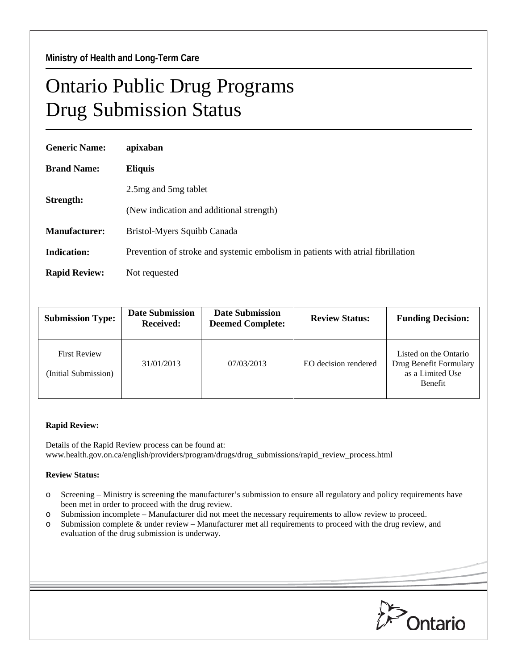## Ontario Public Drug Programs Drug Submission Status

| <b>Generic Name:</b> | apixaban                                                                        |  |  |  |
|----------------------|---------------------------------------------------------------------------------|--|--|--|
| <b>Brand Name:</b>   | <b>Eliquis</b>                                                                  |  |  |  |
| Strength:            | 2.5 mg and 5 mg tablet                                                          |  |  |  |
|                      | (New indication and additional strength)                                        |  |  |  |
| <b>Manufacturer:</b> | Bristol-Myers Squibb Canada                                                     |  |  |  |
| <b>Indication:</b>   | Prevention of stroke and systemic embolism in patients with atrial fibrillation |  |  |  |
| <b>Rapid Review:</b> | Not requested                                                                   |  |  |  |
|                      |                                                                                 |  |  |  |

| <b>Submission Type:</b>                     | <b>Date Submission</b><br><b>Received:</b> | <b>Date Submission</b><br><b>Deemed Complete:</b> | <b>Review Status:</b> | <b>Funding Decision:</b>                                                       |
|---------------------------------------------|--------------------------------------------|---------------------------------------------------|-----------------------|--------------------------------------------------------------------------------|
| <b>First Review</b><br>(Initial Submission) | 31/01/2013                                 | 07/03/2013                                        | EO decision rendered  | Listed on the Ontario<br>Drug Benefit Formulary<br>as a Limited Use<br>Benefit |

## **Rapid Review:**

Details of the Rapid Review process can be found at: www.health.gov.on.ca/english/providers/program/drugs/drug\_submissions/rapid\_review\_process.html

## **Review Status:**

- o Screening Ministry is screening the manufacturer's submission to ensure all regulatory and policy requirements have been met in order to proceed with the drug review.
- o Submission incomplete Manufacturer did not meet the necessary requirements to allow review to proceed.<br>  $\circ$  Submission complete & under review Manufacturer met all requirements to proceed with the drug review,
- Submission complete  $\&$  under review Manufacturer met all requirements to proceed with the drug review, and evaluation of the drug submission is underway.